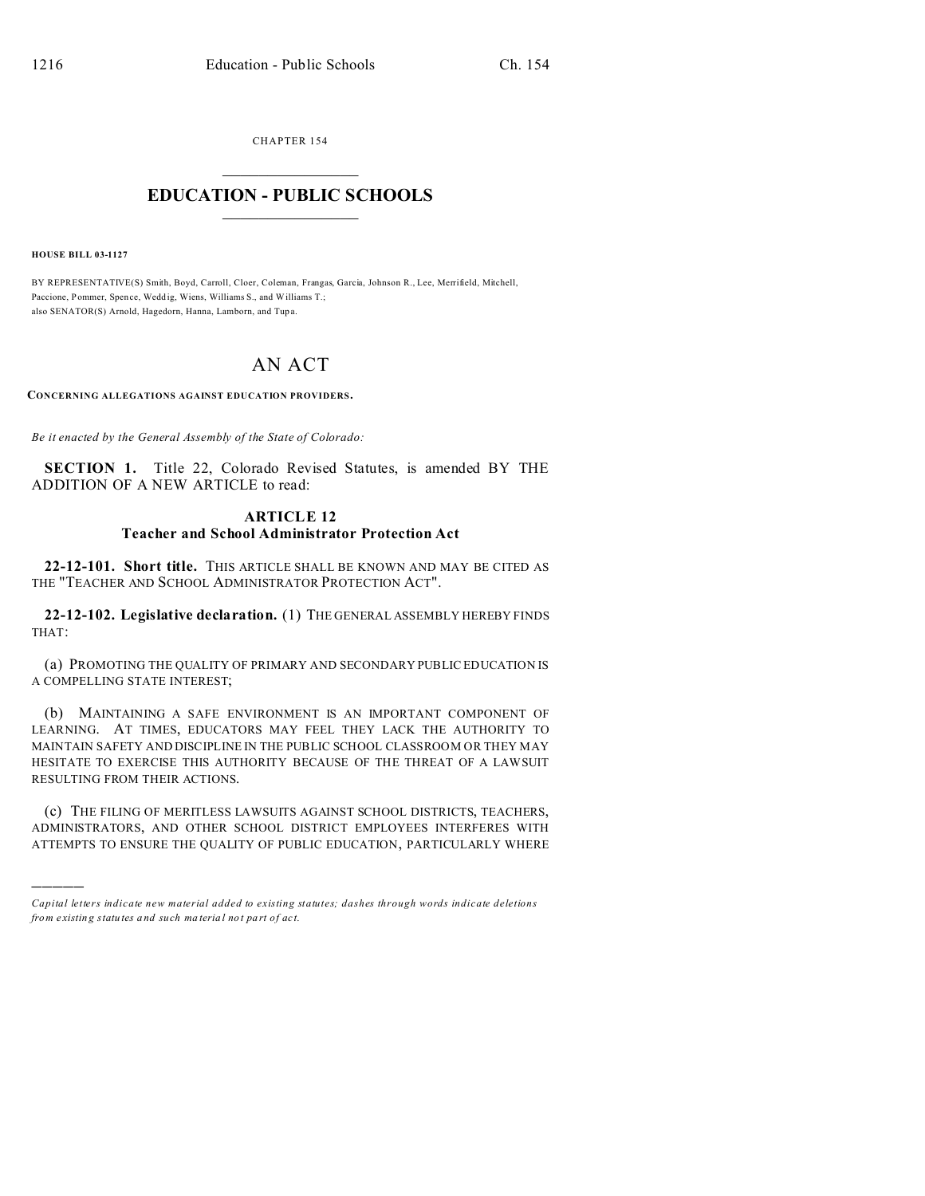CHAPTER 154  $\overline{\phantom{a}}$  , where  $\overline{\phantom{a}}$ 

## **EDUCATION - PUBLIC SCHOOLS**  $\_$   $\_$   $\_$   $\_$   $\_$   $\_$   $\_$   $\_$   $\_$

**HOUSE BILL 03-1127**

)))))

BY REPRESENTATIVE(S) Smith, Boyd, Carroll, Cloer, Coleman, Frangas, Garcia, Johnson R., Lee, Merrifield, Mitchell, Paccione, Pommer, Spence, Wedd ig, Wiens, Williams S., and Williams T.; also SENATOR(S) Arnold, Hagedorn, Hanna, Lamborn, and Tup a.

## AN ACT

**CONCERNING ALLEGATIONS AGAINST EDUCATION PROVIDERS.**

*Be it enacted by the General Assembly of the State of Colorado:*

**SECTION 1.** Title 22, Colorado Revised Statutes, is amended BY THE ADDITION OF A NEW ARTICLE to read:

## **ARTICLE 12**

## **Teacher and School Administrator Protection Act**

**22-12-101. Short title.** THIS ARTICLE SHALL BE KNOWN AND MAY BE CITED AS THE "TEACHER AND SCHOOL ADMINISTRATOR PROTECTION ACT".

**22-12-102. Legislative declaration.** (1) THE GENERAL ASSEMBLY HEREBY FINDS THAT:

(a) PROMOTING THE QUALITY OF PRIMARY AND SECONDARY PUBLIC EDUCATION IS A COMPELLING STATE INTEREST;

(b) MAINTAINING A SAFE ENVIRONMENT IS AN IMPORTANT COMPONENT OF LEARNING. AT TIMES, EDUCATORS MAY FEEL THEY LACK THE AUTHORITY TO MAINTAIN SAFETY AND DISCIPLINE IN THE PUBLIC SCHOOL CLASSROOM OR THEY MAY HESITATE TO EXERCISE THIS AUTHORITY BECAUSE OF THE THREAT OF A LAWSUIT RESULTING FROM THEIR ACTIONS.

(c) THE FILING OF MERITLESS LAWSUITS AGAINST SCHOOL DISTRICTS, TEACHERS, ADMINISTRATORS, AND OTHER SCHOOL DISTRICT EMPLOYEES INTERFERES WITH ATTEMPTS TO ENSURE THE QUALITY OF PUBLIC EDUCATION, PARTICULARLY WHERE

*Capital letters indicate new material added to existing statutes; dashes through words indicate deletions from e xistin g statu tes a nd such ma teria l no t pa rt of ac t.*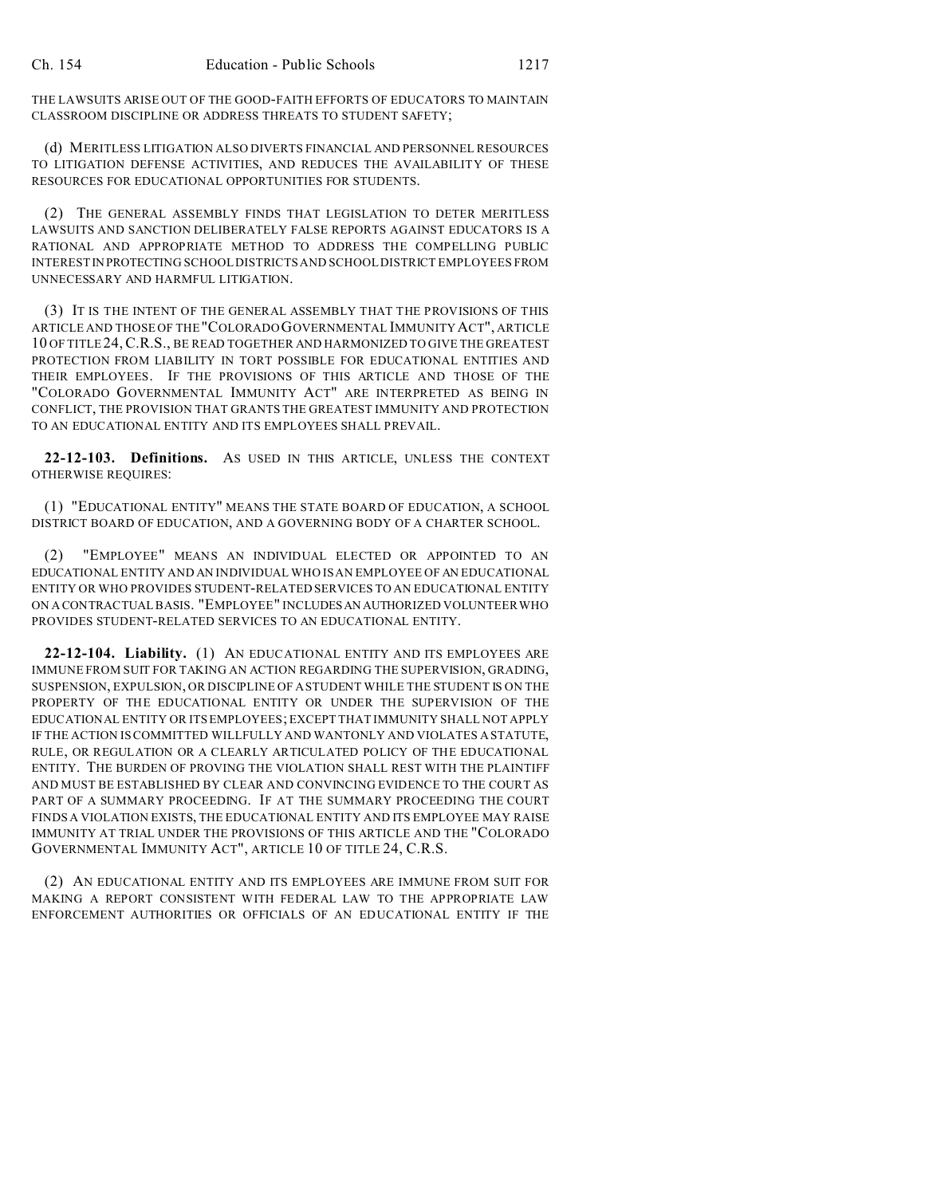THE LAWSUITS ARISE OUT OF THE GOOD-FAITH EFFORTS OF EDUCATORS TO MAINTAIN CLASSROOM DISCIPLINE OR ADDRESS THREATS TO STUDENT SAFETY;

(d) MERITLESS LITIGATION ALSO DIVERTS FINANCIAL AND PERSONNEL RESOURCES TO LITIGATION DEFENSE ACTIVITIES, AND REDUCES THE AVAILABILITY OF THESE RESOURCES FOR EDUCATIONAL OPPORTUNITIES FOR STUDENTS.

(2) THE GENERAL ASSEMBLY FINDS THAT LEGISLATION TO DETER MERITLESS LAWSUITS AND SANCTION DELIBERATELY FALSE REPORTS AGAINST EDUCATORS IS A RATIONAL AND APPROPRIATE METHOD TO ADDRESS THE COMPELLING PUBLIC INTERESTIN PROTECTING SCHOOL DISTRICTS AND SCHOOL DISTRICT EMPLOYEES FROM UNNECESSARY AND HARMFUL LITIGATION.

(3) IT IS THE INTENT OF THE GENERAL ASSEMBLY THAT THE PROVISIONS OF THIS ARTICLE AND THOSE OF THE"COLORADO GOVERNMENTAL IMMUNITY ACT", ARTICLE 10 OF TITLE 24,C.R.S., BE READ TOGETHER AND HARMONIZED TO GIVE THE GREATEST PROTECTION FROM LIABILITY IN TORT POSSIBLE FOR EDUCATIONAL ENTITIES AND THEIR EMPLOYEES. IF THE PROVISIONS OF THIS ARTICLE AND THOSE OF THE "COLORADO GOVERNMENTAL IMMUNITY ACT" ARE INTERPRETED AS BEING IN CONFLICT, THE PROVISION THAT GRANTS THE GREATEST IMMUNITY AND PROTECTION TO AN EDUCATIONAL ENTITY AND ITS EMPLOYEES SHALL PREVAIL.

**22-12-103. Definitions.** AS USED IN THIS ARTICLE, UNLESS THE CONTEXT OTHERWISE REQUIRES:

(1) "EDUCATIONAL ENTITY" MEANS THE STATE BOARD OF EDUCATION, A SCHOOL DISTRICT BOARD OF EDUCATION, AND A GOVERNING BODY OF A CHARTER SCHOOL.

(2) "EMPLOYEE" MEANS AN INDIVIDUAL ELECTED OR APPOINTED TO AN EDUCATIONAL ENTITY AND AN INDIVIDUAL WHO IS AN EMPLOYEE OF AN EDUCATIONAL ENTITY OR WHO PROVIDES STUDENT-RELATED SERVICES TO AN EDUCATIONAL ENTITY ON A CONTRACTUAL BASIS. "EMPLOYEE" INCLUDESAN AUTHORIZED VOLUNTEER WHO PROVIDES STUDENT-RELATED SERVICES TO AN EDUCATIONAL ENTITY.

**22-12-104. Liability.** (1) AN EDUCATIONAL ENTITY AND ITS EMPLOYEES ARE IMMUNE FROM SUIT FOR TAKING AN ACTION REGARDING THE SUPERVISION, GRADING, SUSPENSION, EXPULSION, OR DISCIPLINE OF A STUDENT WHILE THE STUDENT IS ON THE PROPERTY OF THE EDUCATIONAL ENTITY OR UNDER THE SUPERVISION OF THE EDUCATIONAL ENTITY OR ITS EMPLOYEES; EXCEPT THAT IMMUNITY SHALL NOT APPLY IF THE ACTION IS COMMITTED WILLFULLY AND WANTONLY AND VIOLATES A STATUTE, RULE, OR REGULATION OR A CLEARLY ARTICULATED POLICY OF THE EDUCATIONAL ENTITY. THE BURDEN OF PROVING THE VIOLATION SHALL REST WITH THE PLAINTIFF AND MUST BE ESTABLISHED BY CLEAR AND CONVINCING EVIDENCE TO THE COURT AS PART OF A SUMMARY PROCEEDING. IF AT THE SUMMARY PROCEEDING THE COURT FINDS A VIOLATION EXISTS, THE EDUCATIONAL ENTITY AND ITS EMPLOYEE MAY RAISE IMMUNITY AT TRIAL UNDER THE PROVISIONS OF THIS ARTICLE AND THE "COLORADO GOVERNMENTAL IMMUNITY ACT", ARTICLE 10 OF TITLE 24, C.R.S.

(2) AN EDUCATIONAL ENTITY AND ITS EMPLOYEES ARE IMMUNE FROM SUIT FOR MAKING A REPORT CONSISTENT WITH FEDERAL LAW TO THE APPROPRIATE LAW ENFORCEMENT AUTHORITIES OR OFFICIALS OF AN EDUCATIONAL ENTITY IF THE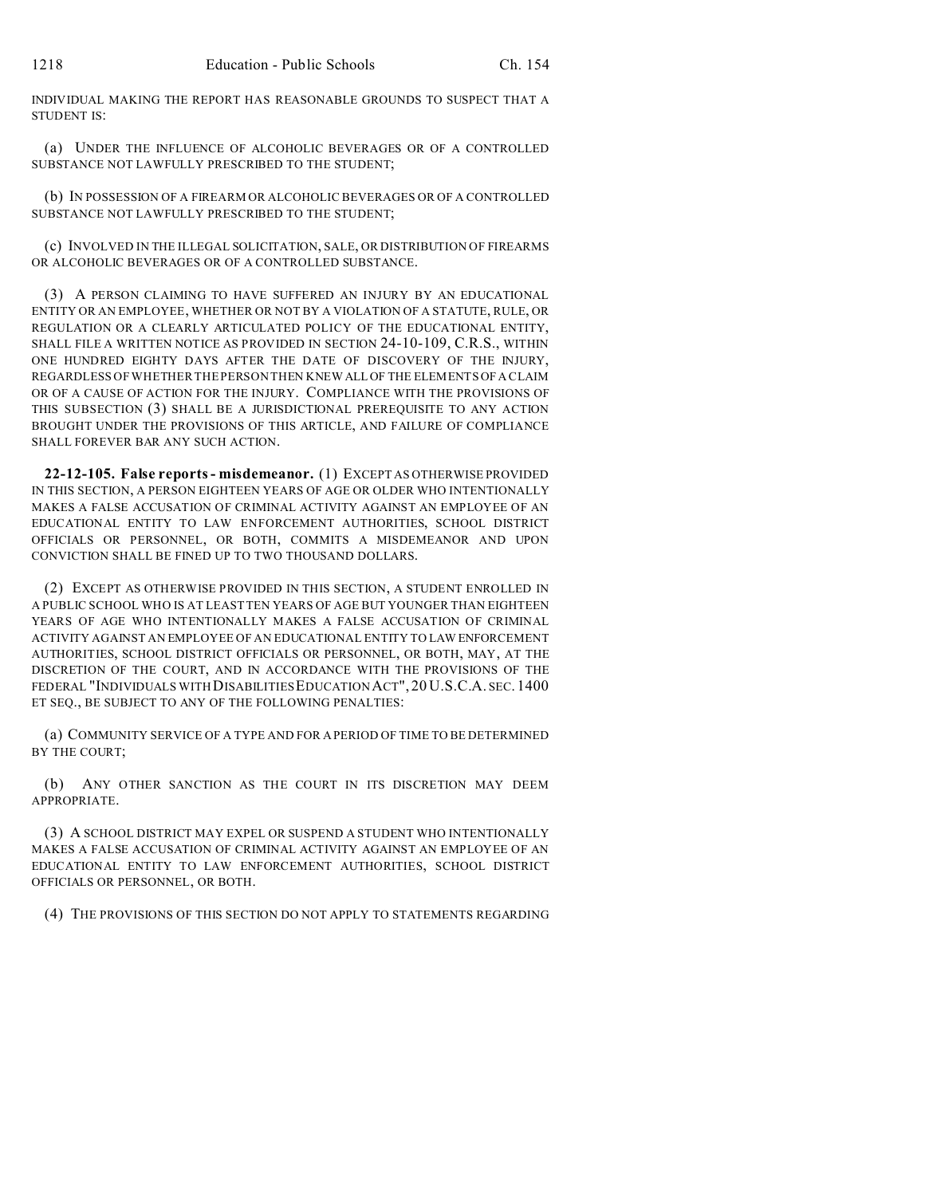INDIVIDUAL MAKING THE REPORT HAS REASONABLE GROUNDS TO SUSPECT THAT A STUDENT IS:

(a) UNDER THE INFLUENCE OF ALCOHOLIC BEVERAGES OR OF A CONTROLLED SUBSTANCE NOT LAWFULLY PRESCRIBED TO THE STUDENT;

(b) IN POSSESSION OF A FIREARM OR ALCOHOLIC BEVERAGES OR OF A CONTROLLED SUBSTANCE NOT LAWFULLY PRESCRIBED TO THE STUDENT;

(c) INVOLVED IN THE ILLEGAL SOLICITATION, SALE, OR DISTRIBUTION OF FIREARMS OR ALCOHOLIC BEVERAGES OR OF A CONTROLLED SUBSTANCE.

(3) A PERSON CLAIMING TO HAVE SUFFERED AN INJURY BY AN EDUCATIONAL ENTITY OR AN EMPLOYEE, WHETHER OR NOT BY A VIOLATION OF A STATUTE, RULE, OR REGULATION OR A CLEARLY ARTICULATED POLICY OF THE EDUCATIONAL ENTITY, SHALL FILE A WRITTEN NOTICE AS PROVIDED IN SECTION 24-10-109, C.R.S., WITHIN ONE HUNDRED EIGHTY DAYS AFTER THE DATE OF DISCOVERY OF THE INJURY, REGARDLESS OF WHETHER THE PERSON THEN KNEW ALL OF THE ELEMENTS OF A CLAIM OR OF A CAUSE OF ACTION FOR THE INJURY. COMPLIANCE WITH THE PROVISIONS OF THIS SUBSECTION (3) SHALL BE A JURISDICTIONAL PREREQUISITE TO ANY ACTION BROUGHT UNDER THE PROVISIONS OF THIS ARTICLE, AND FAILURE OF COMPLIANCE SHALL FOREVER BAR ANY SUCH ACTION.

**22-12-105. False reports - misdemeanor.** (1) EXCEPT AS OTHERWISE PROVIDED IN THIS SECTION, A PERSON EIGHTEEN YEARS OF AGE OR OLDER WHO INTENTIONALLY MAKES A FALSE ACCUSATION OF CRIMINAL ACTIVITY AGAINST AN EMPLOYEE OF AN EDUCATIONAL ENTITY TO LAW ENFORCEMENT AUTHORITIES, SCHOOL DISTRICT OFFICIALS OR PERSONNEL, OR BOTH, COMMITS A MISDEMEANOR AND UPON CONVICTION SHALL BE FINED UP TO TWO THOUSAND DOLLARS.

(2) EXCEPT AS OTHERWISE PROVIDED IN THIS SECTION, A STUDENT ENROLLED IN A PUBLIC SCHOOL WHO IS AT LEAST TEN YEARS OF AGE BUT YOUNGER THAN EIGHTEEN YEARS OF AGE WHO INTENTIONALLY MAKES A FALSE ACCUSATION OF CRIMINAL ACTIVITY AGAINST AN EMPLOYEE OF AN EDUCATIONAL ENTITY TO LAW ENFORCEMENT AUTHORITIES, SCHOOL DISTRICT OFFICIALS OR PERSONNEL, OR BOTH, MAY, AT THE DISCRETION OF THE COURT, AND IN ACCORDANCE WITH THE PROVISIONS OF THE FEDERAL "INDIVIDUALS WITH DISABILITIES EDUCATION ACT", 20 U.S.C.A. SEC. 1400 ET SEQ., BE SUBJECT TO ANY OF THE FOLLOWING PENALTIES:

(a) COMMUNITY SERVICE OF A TYPE AND FOR A PERIOD OF TIME TO BE DETERMINED BY THE COURT;

(b) ANY OTHER SANCTION AS THE COURT IN ITS DISCRETION MAY DEEM APPROPRIATE.

(3) A SCHOOL DISTRICT MAY EXPEL OR SUSPEND A STUDENT WHO INTENTIONALLY MAKES A FALSE ACCUSATION OF CRIMINAL ACTIVITY AGAINST AN EMPLOYEE OF AN EDUCATIONAL ENTITY TO LAW ENFORCEMENT AUTHORITIES, SCHOOL DISTRICT OFFICIALS OR PERSONNEL, OR BOTH.

(4) THE PROVISIONS OF THIS SECTION DO NOT APPLY TO STATEMENTS REGARDING